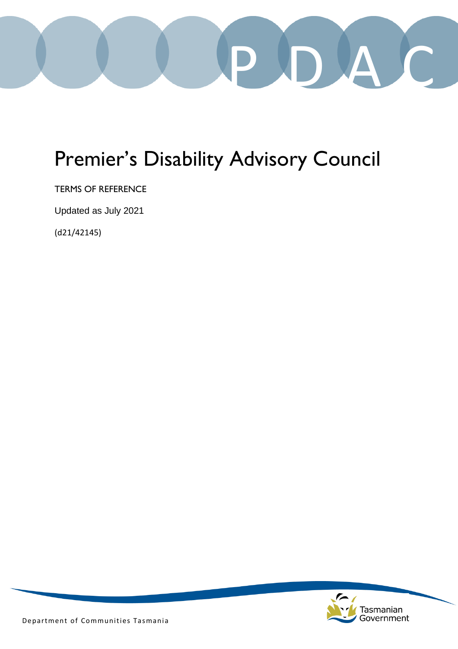

# Premier's Disability Advisory Council

TERMS OF REFERENCE

Updated as July 2021

(d21/42145)



Department of Communities Tasmania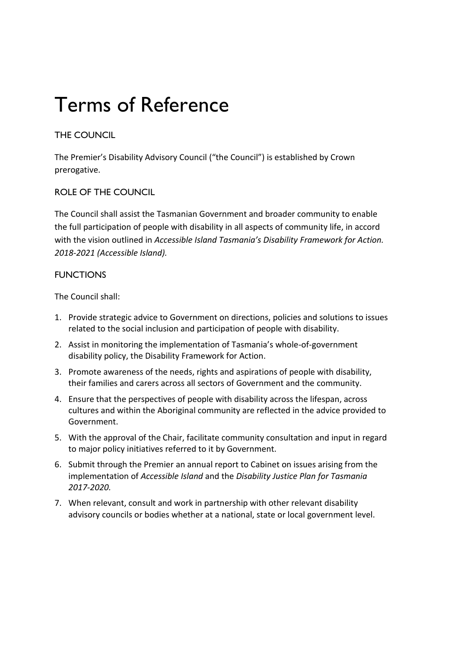# Terms of Reference

# THE COUNCIL

The Premier's Disability Advisory Council ("the Council") is established by Crown prerogative.

#### ROLE OF THE COUNCIL

The Council shall assist the Tasmanian Government and broader community to enable the full participation of people with disability in all aspects of community life, in accord with the vision outlined in *Accessible Island Tasmania's Disability Framework for Action. 2018-2021 (Accessible Island).*

#### **FUNCTIONS**

The Council shall:

- 1. Provide strategic advice to Government on directions, policies and solutions to issues related to the social inclusion and participation of people with disability.
- 2. Assist in monitoring the implementation of Tasmania's whole-of-government disability policy, the Disability Framework for Action.
- 3. Promote awareness of the needs, rights and aspirations of people with disability, their families and carers across all sectors of Government and the community.
- 4. Ensure that the perspectives of people with disability across the lifespan, across cultures and within the Aboriginal community are reflected in the advice provided to Government.
- 5. With the approval of the Chair, facilitate community consultation and input in regard to major policy initiatives referred to it by Government.
- 6. Submit through the Premier an annual report to Cabinet on issues arising from the implementation of *Accessible Island* and the *Disability Justice Plan for Tasmania 2017-2020.*
- 7. When relevant, consult and work in partnership with other relevant disability advisory councils or bodies whether at a national, state or local government level.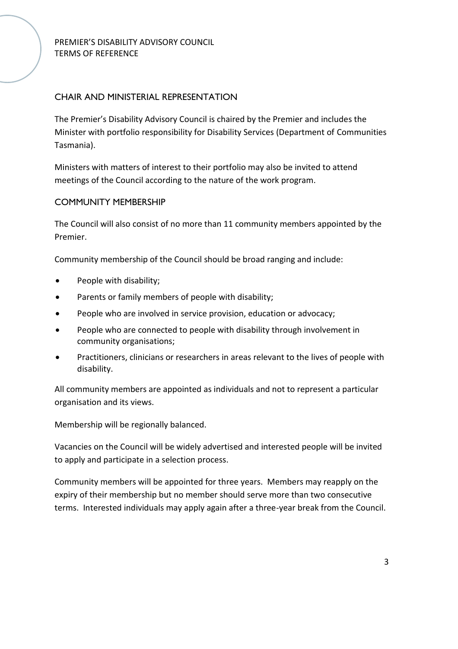# CHAIR AND MINISTERIAL REPRESENTATION

The Premier's Disability Advisory Council is chaired by the Premier and includes the Minister with portfolio responsibility for Disability Services (Department of Communities Tasmania).

Ministers with matters of interest to their portfolio may also be invited to attend meetings of the Council according to the nature of the work program.

#### COMMUNITY MEMBERSHIP

The Council will also consist of no more than 11 community members appointed by the Premier.

Community membership of the Council should be broad ranging and include:

- People with disability;
- Parents or family members of people with disability;
- People who are involved in service provision, education or advocacy;
- People who are connected to people with disability through involvement in community organisations;
- Practitioners, clinicians or researchers in areas relevant to the lives of people with disability.

All community members are appointed as individuals and not to represent a particular organisation and its views.

Membership will be regionally balanced.

Vacancies on the Council will be widely advertised and interested people will be invited to apply and participate in a selection process.

Community members will be appointed for three years. Members may reapply on the expiry of their membership but no member should serve more than two consecutive terms. Interested individuals may apply again after a three-year break from the Council.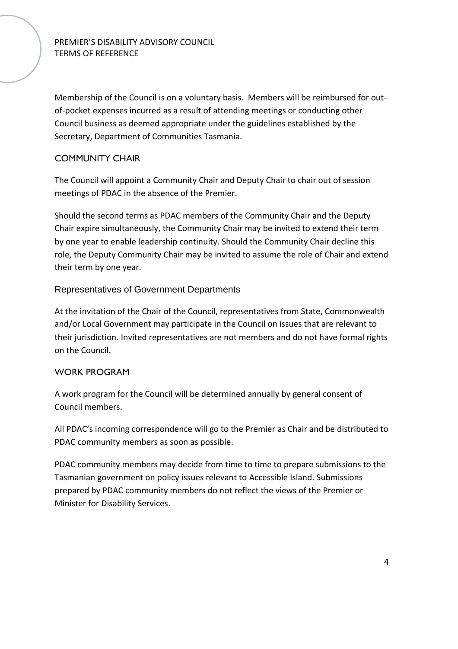Membership of the Council is on a voluntary basis. Members will be reimbursed for outof-pocket expenses incurred as a result of attending meetings or conducting other Council business as deemed appropriate under the guidelines established by the Secretary, Department of Communities Tasmania.

#### COMMUNITY CHAIR

The Council will appoint a Community Chair and Deputy Chair to chair out of session meetings of PDAC in the absence of the Premier.

Should the second terms as PDAC members of the Community Chair and the Deputy Chair expire simultaneously, the Community Chair may be invited to extend their term by one year to enable leadership continuity. Should the Community Chair decline this role, the Deputy Community Chair may be invited to assume the role of Chair and extend their term by one year.

#### Representatives of Government Departments

At the invitation of the Chair of the Council, representatives from State, Commonwealth and/or Local Government may participate in the Council on issues that are relevant to their jurisdiction. Invited representatives are not members and do not have formal rights on the Council.

#### WORK PROGRAM

A work program for the Council will be determined annually by general consent of Council members.

All PDAC's incoming correspondence will go to the Premier as Chair and be distributed to PDAC community members as soon as possible.

PDAC community members may decide from time to time to prepare submissions to the Tasmanian government on policy issues relevant to Accessible Island. Submissions prepared by PDAC community members do not reflect the views of the Premier or Minister for Disability Services.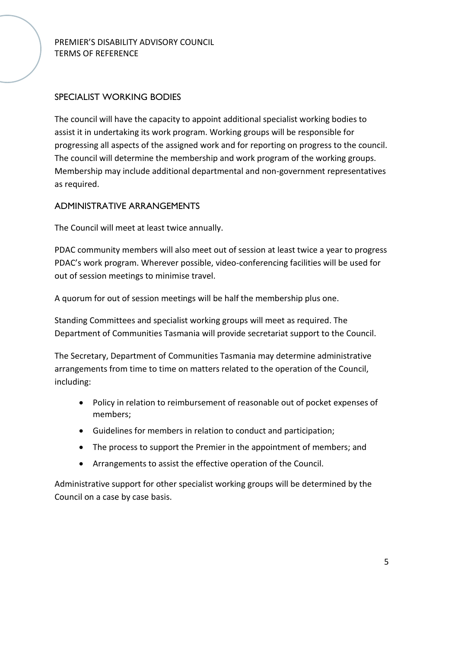# SPECIALIST WORKING BODIES

The council will have the capacity to appoint additional specialist working bodies to assist it in undertaking its work program. Working groups will be responsible for progressing all aspects of the assigned work and for reporting on progress to the council. The council will determine the membership and work program of the working groups. Membership may include additional departmental and non-government representatives as required.

#### ADMINISTRATIVE ARRANGEMENTS

The Council will meet at least twice annually.

PDAC community members will also meet out of session at least twice a year to progress PDAC's work program. Wherever possible, video-conferencing facilities will be used for out of session meetings to minimise travel.

A quorum for out of session meetings will be half the membership plus one.

Standing Committees and specialist working groups will meet as required. The Department of Communities Tasmania will provide secretariat support to the Council.

The Secretary, Department of Communities Tasmania may determine administrative arrangements from time to time on matters related to the operation of the Council, including:

- Policy in relation to reimbursement of reasonable out of pocket expenses of members;
- Guidelines for members in relation to conduct and participation;
- The process to support the Premier in the appointment of members; and
- Arrangements to assist the effective operation of the Council.

Administrative support for other specialist working groups will be determined by the Council on a case by case basis.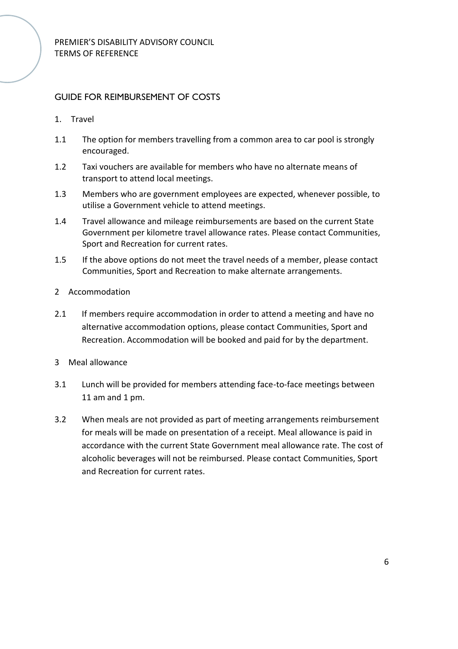# GUIDE FOR REIMBURSEMENT OF COSTS

- 1. Travel
- 1.1 The option for members travelling from a common area to car pool is strongly encouraged.
- 1.2 Taxi vouchers are available for members who have no alternate means of transport to attend local meetings.
- 1.3 Members who are government employees are expected, whenever possible, to utilise a Government vehicle to attend meetings.
- 1.4 Travel allowance and mileage reimbursements are based on the current State Government per kilometre travel allowance rates. Please contact Communities, Sport and Recreation for current rates.
- 1.5 If the above options do not meet the travel needs of a member, please contact Communities, Sport and Recreation to make alternate arrangements.
- 2 Accommodation
- 2.1 If members require accommodation in order to attend a meeting and have no alternative accommodation options, please contact Communities, Sport and Recreation. Accommodation will be booked and paid for by the department.
- 3 Meal allowance
- 3.1 Lunch will be provided for members attending face-to-face meetings between 11 am and 1 pm.
- 3.2 When meals are not provided as part of meeting arrangements reimbursement for meals will be made on presentation of a receipt. Meal allowance is paid in accordance with the current State Government meal allowance rate. The cost of alcoholic beverages will not be reimbursed. Please contact Communities, Sport and Recreation for current rates.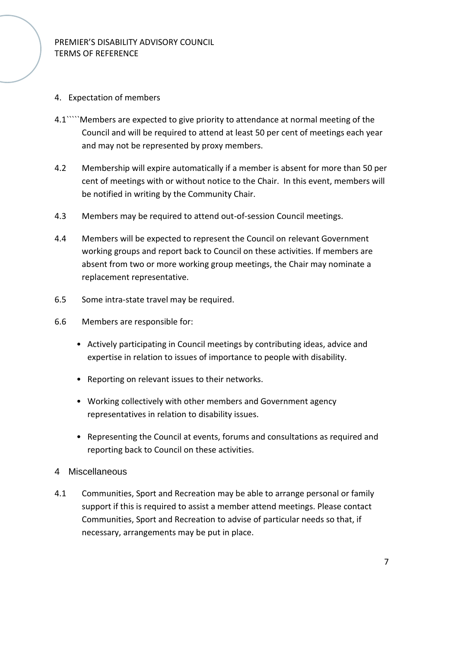#### 4. Expectation of members

- 4.1`````Members are expected to give priority to attendance at normal meeting of the Council and will be required to attend at least 50 per cent of meetings each year and may not be represented by proxy members.
- 4.2 Membership will expire automatically if a member is absent for more than 50 per cent of meetings with or without notice to the Chair. In this event, members will be notified in writing by the Community Chair.
- 4.3 Members may be required to attend out-of-session Council meetings.
- 4.4 Members will be expected to represent the Council on relevant Government working groups and report back to Council on these activities. If members are absent from two or more working group meetings, the Chair may nominate a replacement representative.
- 6.5 Some intra-state travel may be required.
- 6.6 Members are responsible for:
	- Actively participating in Council meetings by contributing ideas, advice and expertise in relation to issues of importance to people with disability.
	- Reporting on relevant issues to their networks.
	- Working collectively with other members and Government agency representatives in relation to disability issues.
	- Representing the Council at events, forums and consultations as required and reporting back to Council on these activities.
- 4 Miscellaneous
- 4.1 Communities, Sport and Recreation may be able to arrange personal or family support if this is required to assist a member attend meetings. Please contact Communities, Sport and Recreation to advise of particular needs so that, if necessary, arrangements may be put in place.